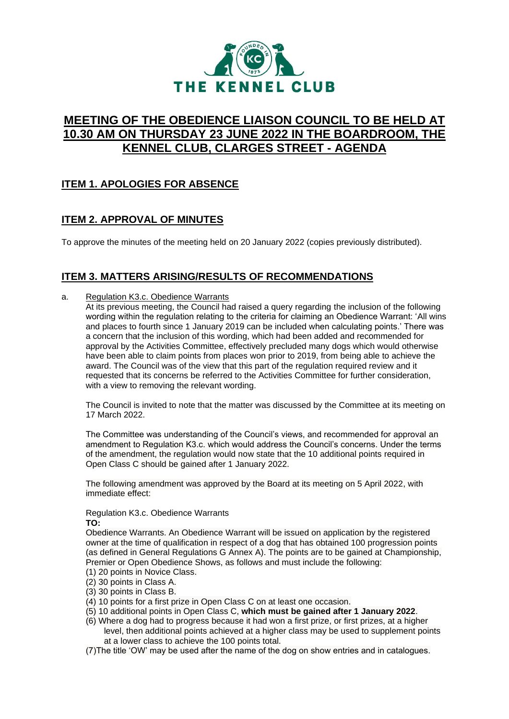

# **MEETING OF THE OBEDIENCE LIAISON COUNCIL TO BE HELD AT 10.30 AM ON THURSDAY 23 JUNE 2022 IN THE BOARDROOM, THE KENNEL CLUB, CLARGES STREET - AGENDA**

# **ITEM 1. APOLOGIES FOR ABSENCE**

# **ITEM 2. APPROVAL OF MINUTES**

To approve the minutes of the meeting held on 20 January 2022 (copies previously distributed).

# **ITEM 3. MATTERS ARISING/RESULTS OF RECOMMENDATIONS**

### a. Regulation K3.c. Obedience Warrants

At its previous meeting, the Council had raised a query regarding the inclusion of the following wording within the regulation relating to the criteria for claiming an Obedience Warrant: 'All wins and places to fourth since 1 January 2019 can be included when calculating points.' There was a concern that the inclusion of this wording, which had been added and recommended for approval by the Activities Committee, effectively precluded many dogs which would otherwise have been able to claim points from places won prior to 2019, from being able to achieve the award. The Council was of the view that this part of the regulation required review and it requested that its concerns be referred to the Activities Committee for further consideration, with a view to removing the relevant wording.

The Council is invited to note that the matter was discussed by the Committee at its meeting on 17 March 2022.

The Committee was understanding of the Council's views, and recommended for approval an amendment to Regulation K3.c. which would address the Council's concerns. Under the terms of the amendment, the regulation would now state that the 10 additional points required in Open Class C should be gained after 1 January 2022.

The following amendment was approved by the Board at its meeting on 5 April 2022, with immediate effect:

Regulation K3.c. Obedience Warrants **TO:**

Obedience Warrants. An Obedience Warrant will be issued on application by the registered owner at the time of qualification in respect of a dog that has obtained 100 progression points (as defined in General Regulations G Annex A). The points are to be gained at Championship, Premier or Open Obedience Shows, as follows and must include the following:

- (1) 20 points in Novice Class.
- (2) 30 points in Class A.
- (3) 30 points in Class B.
- (4) 10 points for a first prize in Open Class C on at least one occasion.
- (5) 10 additional points in Open Class C, **which must be gained after 1 January 2022**.
- (6) Where a dog had to progress because it had won a first prize, or first prizes, at a higher level, then additional points achieved at a higher class may be used to supplement points at a lower class to achieve the 100 points total.
- (7)The title 'OW' may be used after the name of the dog on show entries and in catalogues.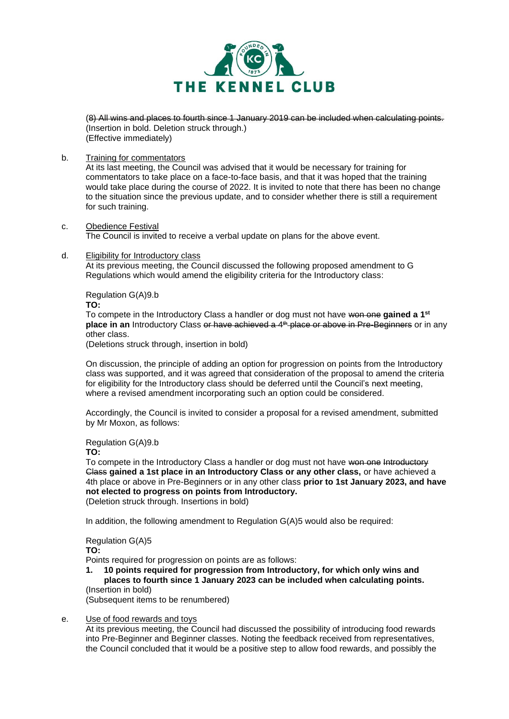

(8) All wins and places to fourth since 1 January 2019 can be included when calculating points. (Insertion in bold. Deletion struck through.) (Effective immediately)

b. Training for commentators

At its last meeting, the Council was advised that it would be necessary for training for commentators to take place on a face-to-face basis, and that it was hoped that the training would take place during the course of 2022. It is invited to note that there has been no change to the situation since the previous update, and to consider whether there is still a requirement for such training.

- c. Obedience Festival The Council is invited to receive a verbal update on plans for the above event.
- d. Eligibility for Introductory class

At its previous meeting, the Council discussed the following proposed amendment to G Regulations which would amend the eligibility criteria for the Introductory class:

Regulation G(A)9.b

**TO:**

To compete in the Introductory Class a handler or dog must not have won one **gained a 1st place in an** Introductory Class or have achieved a 4<sup>th</sup> place or above in Pre-Beginners or in any other class.

(Deletions struck through, insertion in bold)

On discussion, the principle of adding an option for progression on points from the Introductory class was supported, and it was agreed that consideration of the proposal to amend the criteria for eligibility for the Introductory class should be deferred until the Council's next meeting, where a revised amendment incorporating such an option could be considered.

Accordingly, the Council is invited to consider a proposal for a revised amendment, submitted by Mr Moxon, as follows:

#### Regulation G(A)9.b

**TO:**

To compete in the Introductory Class a handler or dog must not have won one Introductory Class **gained a 1st place in an Introductory Class or any other class,** or have achieved a 4th place or above in Pre-Beginners or in any other class **prior to 1st January 2023, and have not elected to progress on points from Introductory.** (Deletion struck through. Insertions in bold)

In addition, the following amendment to Regulation G(A)5 would also be required:

Regulation G(A)5

**TO:**

Points required for progression on points are as follows:

**1. 10 points required for progression from Introductory, for which only wins and places to fourth since 1 January 2023 can be included when calculating points.** (Insertion in bold)

(Subsequent items to be renumbered)

#### e. Use of food rewards and toys

At its previous meeting, the Council had discussed the possibility of introducing food rewards into Pre-Beginner and Beginner classes. Noting the feedback received from representatives, the Council concluded that it would be a positive step to allow food rewards, and possibly the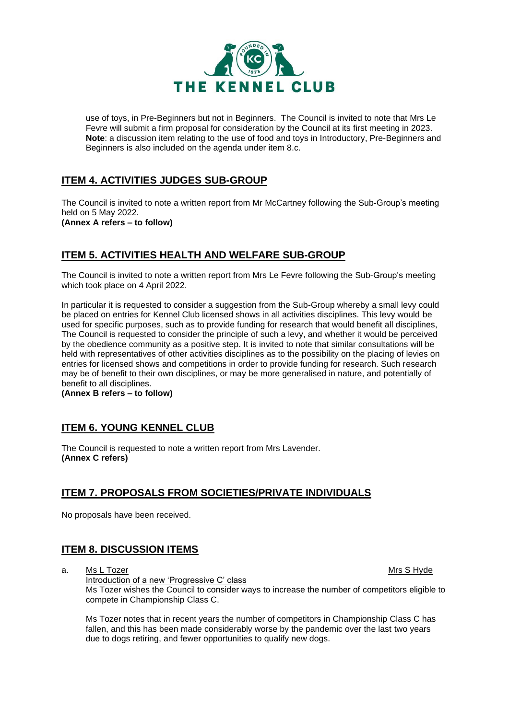

use of toys, in Pre-Beginners but not in Beginners. The Council is invited to note that Mrs Le Fevre will submit a firm proposal for consideration by the Council at its first meeting in 2023. **Note**: a discussion item relating to the use of food and toys in Introductory, Pre-Beginners and Beginners is also included on the agenda under item 8.c.

# **ITEM 4. ACTIVITIES JUDGES SUB-GROUP**

The Council is invited to note a written report from Mr McCartney following the Sub-Group's meeting held on 5 May 2022. **(Annex A refers – to follow)**

# **ITEM 5. ACTIVITIES HEALTH AND WELFARE SUB-GROUP**

The Council is invited to note a written report from Mrs Le Fevre following the Sub-Group's meeting which took place on 4 April 2022.

In particular it is requested to consider a suggestion from the Sub-Group whereby a small levy could be placed on entries for Kennel Club licensed shows in all activities disciplines. This levy would be used for specific purposes, such as to provide funding for research that would benefit all disciplines, The Council is requested to consider the principle of such a levy, and whether it would be perceived by the obedience community as a positive step. It is invited to note that similar consultations will be held with representatives of other activities disciplines as to the possibility on the placing of levies on entries for licensed shows and competitions in order to provide funding for research. Such research may be of benefit to their own disciplines, or may be more generalised in nature, and potentially of benefit to all disciplines.

**(Annex B refers – to follow)**

## **ITEM 6. YOUNG KENNEL CLUB**

The Council is requested to note a written report from Mrs Lavender. **(Annex C refers)**

## **ITEM 7. PROPOSALS FROM SOCIETIES/PRIVATE INDIVIDUALS**

No proposals have been received.

# **ITEM 8. DISCUSSION ITEMS**

a. Ms L Tozer Material and the Mrs S Hyde Mrs S Hyde Mrs S Hyde Mrs S Hyde Mrs S Hyde Mrs S Hyde Mrs S Hyde Mr Introduction of a new 'Progressive C' class Ms Tozer wishes the Council to consider ways to increase the number of competitors eligible to compete in Championship Class C.

Ms Tozer notes that in recent years the number of competitors in Championship Class C has fallen, and this has been made considerably worse by the pandemic over the last two years due to dogs retiring, and fewer opportunities to qualify new dogs.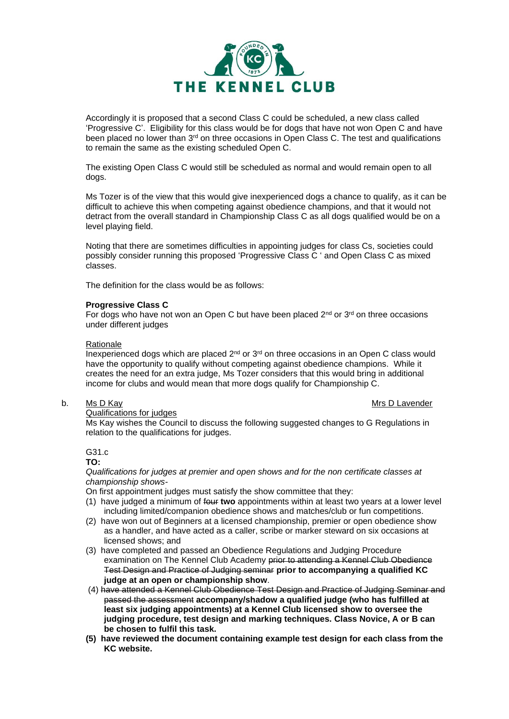

Accordingly it is proposed that a second Class C could be scheduled, a new class called 'Progressive C'. Eligibility for this class would be for dogs that have not won Open C and have been placed no lower than 3<sup>rd</sup> on three occasions in Open Class C. The test and qualifications to remain the same as the existing scheduled Open C.

The existing Open Class C would still be scheduled as normal and would remain open to all dogs.

Ms Tozer is of the view that this would give inexperienced dogs a chance to qualify, as it can be difficult to achieve this when competing against obedience champions, and that it would not detract from the overall standard in Championship Class C as all dogs qualified would be on a level playing field.

Noting that there are sometimes difficulties in appointing judges for class Cs, societies could possibly consider running this proposed 'Progressive Class C ' and Open Class C as mixed classes.

The definition for the class would be as follows:

#### **Progressive Class C**

For dogs who have not won an Open C but have been placed  $2<sup>nd</sup>$  or  $3<sup>rd</sup>$  on three occasions under different judges

#### Rationale

Inexperienced dogs which are placed  $2<sup>nd</sup>$  or  $3<sup>rd</sup>$  on three occasions in an Open C class would have the opportunity to qualify without competing against obedience champions. While it creates the need for an extra judge, Ms Tozer considers that this would bring in additional income for clubs and would mean that more dogs qualify for Championship C.

#### b. Ms D Kay Mrs D Lavender

Qualifications for judges

Ms Kay wishes the Council to discuss the following suggested changes to G Regulations in relation to the qualifications for judges.

G31.c

#### **TO:**

*Qualifications for judges at premier and open shows and for the non certificate classes at championship shows-*

On first appointment judges must satisfy the show committee that they:

- (1) have judged a minimum of four **two** appointments within at least two years at a lower level including limited/companion obedience shows and matches/club or fun competitions.
- (2) have won out of Beginners at a licensed championship, premier or open obedience show as a handler, and have acted as a caller, scribe or marker steward on six occasions at licensed shows; and
- (3) have completed and passed an Obedience Regulations and Judging Procedure examination on The Kennel Club Academy prior to attending a Kennel Club Obedience Test Design and Practice of Judging seminar **prior to accompanying a qualified KC judge at an open or championship show**.
- (4) have attended a Kennel Club Obedience Test Design and Practice of Judging Seminar and passed the assessment **accompany/shadow a qualified judge (who has fulfilled at least six judging appointments) at a Kennel Club licensed show to oversee the judging procedure, test design and marking techniques. Class Novice, A or B can be chosen to fulfil this task.**
- **(5) have reviewed the document containing example test design for each class from the KC website.**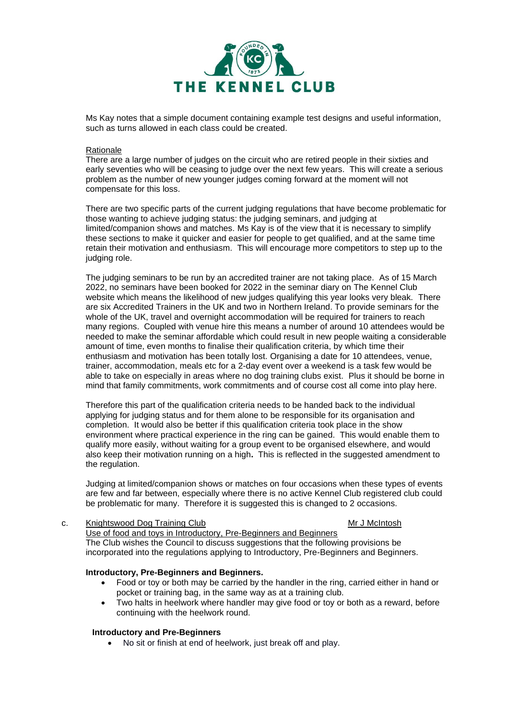

Ms Kay notes that a simple document containing example test designs and useful information, such as turns allowed in each class could be created.

#### Rationale

There are a large number of judges on the circuit who are retired people in their sixties and early seventies who will be ceasing to judge over the next few years. This will create a serious problem as the number of new younger judges coming forward at the moment will not compensate for this loss.

There are two specific parts of the current judging regulations that have become problematic for those wanting to achieve judging status: the judging seminars, and judging at limited/companion shows and matches. Ms Kay is of the view that it is necessary to simplify these sections to make it quicker and easier for people to get qualified, and at the same time retain their motivation and enthusiasm. This will encourage more competitors to step up to the judging role.

The judging seminars to be run by an accredited trainer are not taking place. As of 15 March 2022, no seminars have been booked for 2022 in the seminar diary on The Kennel Club website which means the likelihood of new judges qualifying this year looks very bleak. There are six Accredited Trainers in the UK and two in Northern Ireland. To provide seminars for the whole of the UK, travel and overnight accommodation will be required for trainers to reach many regions. Coupled with venue hire this means a number of around 10 attendees would be needed to make the seminar affordable which could result in new people waiting a considerable amount of time, even months to finalise their qualification criteria, by which time their enthusiasm and motivation has been totally lost. Organising a date for 10 attendees, venue, trainer, accommodation, meals etc for a 2-day event over a weekend is a task few would be able to take on especially in areas where no dog training clubs exist. Plus it should be borne in mind that family commitments, work commitments and of course cost all come into play here.

Therefore this part of the qualification criteria needs to be handed back to the individual applying for judging status and for them alone to be responsible for its organisation and completion. It would also be better if this qualification criteria took place in the show environment where practical experience in the ring can be gained. This would enable them to qualify more easily, without waiting for a group event to be organised elsewhere, and would also keep their motivation running on a high**.** This is reflected in the suggested amendment to the regulation.

Judging at limited/companion shows or matches on four occasions when these types of events are few and far between, especially where there is no active Kennel Club registered club could be problematic for many. Therefore it is suggested this is changed to 2 occasions.

### c. Knightswood Dog Training Club Mr J McIntosh

Use of food and toys in Introductory, Pre-Beginners and Beginners The Club wishes the Council to discuss suggestions that the following provisions be incorporated into the regulations applying to Introductory, Pre-Beginners and Beginners.

#### **Introductory, Pre-Beginners and Beginners.**

- Food or toy or both may be carried by the handler in the ring, carried either in hand or pocket or training bag, in the same way as at a training club.
- Two halts in heelwork where handler may give food or toy or both as a reward, before continuing with the heelwork round.

#### **Introductory and Pre-Beginners**

• No sit or finish at end of heelwork, just break off and play.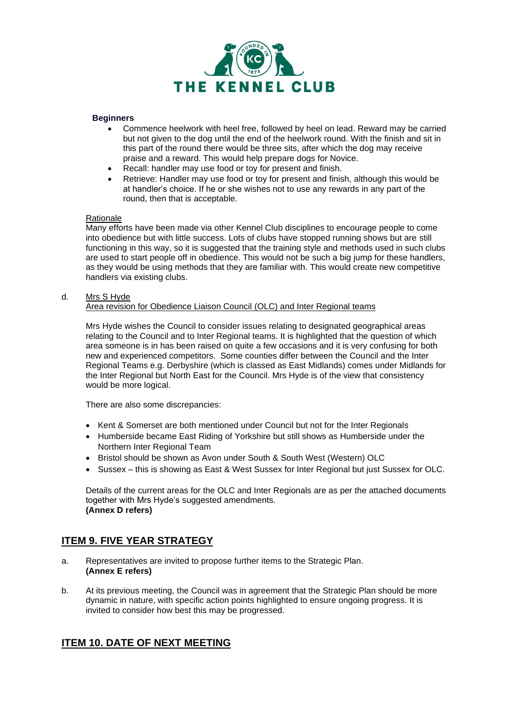

#### **Beginners**

- Commence heelwork with heel free, followed by heel on lead. Reward may be carried but not given to the dog until the end of the heelwork round. With the finish and sit in this part of the round there would be three sits, after which the dog may receive praise and a reward. This would help prepare dogs for Novice.
- Recall: handler may use food or toy for present and finish.
- Retrieve: Handler may use food or toy for present and finish, although this would be at handler's choice. If he or she wishes not to use any rewards in any part of the round, then that is acceptable.

#### Rationale

Many efforts have been made via other Kennel Club disciplines to encourage people to come into obedience but with little success. Lots of clubs have stopped running shows but are still functioning in this way, so it is suggested that the training style and methods used in such clubs are used to start people off in obedience. This would not be such a big jump for these handlers, as they would be using methods that they are familiar with. This would create new competitive handlers via existing clubs.

#### d. Mrs S Hyde

#### Area revision for Obedience Liaison Council (OLC) and Inter Regional teams

Mrs Hyde wishes the Council to consider issues relating to designated geographical areas relating to the Council and to Inter Regional teams. It is highlighted that the question of which area someone is in has been raised on quite a few occasions and it is very confusing for both new and experienced competitors. Some counties differ between the Council and the Inter Regional Teams e.g. Derbyshire (which is classed as East Midlands) comes under Midlands for the Inter Regional but North East for the Council. Mrs Hyde is of the view that consistency would be more logical.

There are also some discrepancies:

- Kent & Somerset are both mentioned under Council but not for the Inter Regionals
- Humberside became East Riding of Yorkshire but still shows as Humberside under the Northern Inter Regional Team
- Bristol should be shown as Avon under South & South West (Western) OLC
- Sussex this is showing as East & West Sussex for Inter Regional but just Sussex for OLC.

Details of the current areas for the OLC and Inter Regionals are as per the attached documents together with Mrs Hyde's suggested amendments. **(Annex D refers)**

## **ITEM 9. FIVE YEAR STRATEGY**

- a. Representatives are invited to propose further items to the Strategic Plan. **(Annex E refers)**
- b. At its previous meeting, the Council was in agreement that the Strategic Plan should be more dynamic in nature, with specific action points highlighted to ensure ongoing progress. It is invited to consider how best this may be progressed.

## **ITEM 10. DATE OF NEXT MEETING**